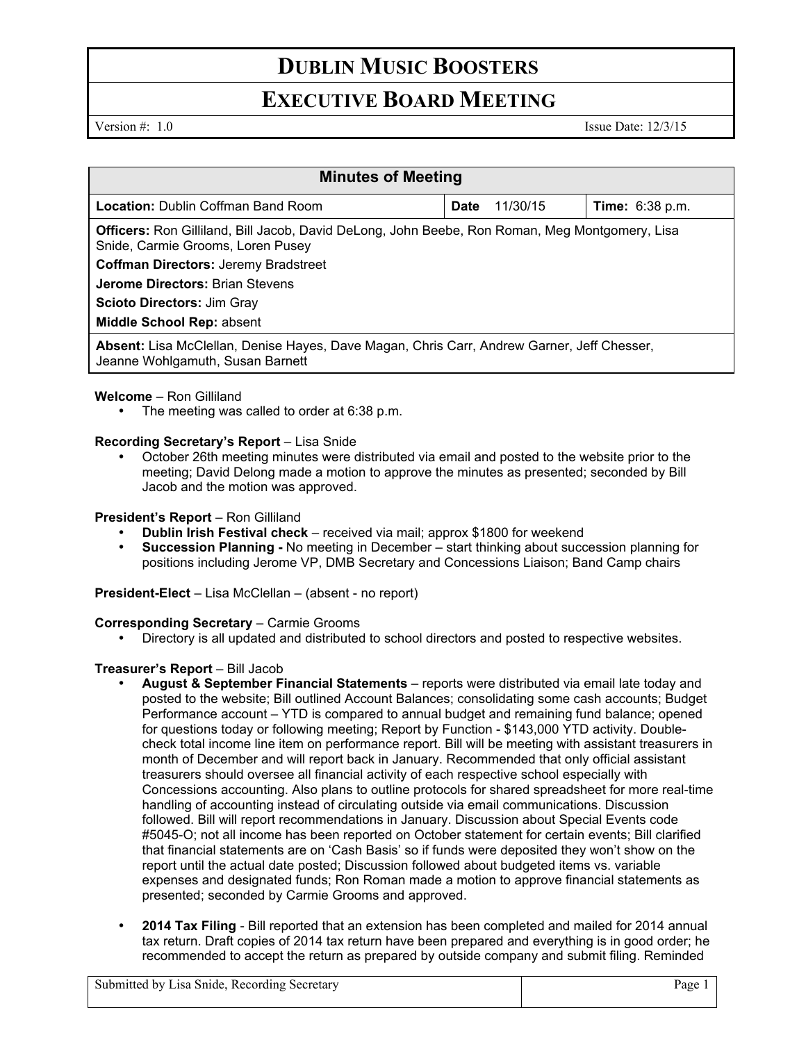# **DUBLIN MUSIC BOOSTERS**

# **EXECUTIVE BOARD MEETING**

Version #: 1.0 Issue Date: 12/3/15

| <b>Minutes of Meeting</b>                                                                                                           |      |          |                        |
|-------------------------------------------------------------------------------------------------------------------------------------|------|----------|------------------------|
| <b>Location:</b> Dublin Coffman Band Room                                                                                           | Date | 11/30/15 | <b>Time:</b> 6:38 p.m. |
| Officers: Ron Gilliland, Bill Jacob, David DeLong, John Beebe, Ron Roman, Meg Montgomery, Lisa<br>Snide, Carmie Grooms, Loren Pusey |      |          |                        |
| <b>Coffman Directors: Jeremy Bradstreet</b>                                                                                         |      |          |                        |
| <b>Jerome Directors: Brian Stevens</b>                                                                                              |      |          |                        |
| <b>Scioto Directors: Jim Gray</b>                                                                                                   |      |          |                        |
| Middle School Rep: absent                                                                                                           |      |          |                        |
| Absent: Lisa McClellan, Denise Hayes, Dave Magan, Chris Carr, Andrew Garner, Jeff Chesser,<br>Jeanne Wohlgamuth, Susan Barnett      |      |          |                        |

### **Welcome** – Ron Gilliland

The meeting was called to order at 6:38 p.m.

### **Recording Secretary's Report** – Lisa Snide

• October 26th meeting minutes were distributed via email and posted to the website prior to the meeting; David Delong made a motion to approve the minutes as presented; seconded by Bill Jacob and the motion was approved.

### **President's Report** – Ron Gilliland

- **Dublin Irish Festival check**  received via mail; approx \$1800 for weekend
- **Succession Planning -** No meeting in December start thinking about succession planning for positions including Jerome VP, DMB Secretary and Concessions Liaison; Band Camp chairs

**President-Elect** – Lisa McClellan – (absent - no report)

#### **Corresponding Secretary - Carmie Grooms**

• Directory is all updated and distributed to school directors and posted to respective websites.

### **Treasurer's Report** – Bill Jacob

- **August & September Financial Statements** reports were distributed via email late today and posted to the website; Bill outlined Account Balances; consolidating some cash accounts; Budget Performance account – YTD is compared to annual budget and remaining fund balance; opened for questions today or following meeting; Report by Function - \$143,000 YTD activity. Doublecheck total income line item on performance report. Bill will be meeting with assistant treasurers in month of December and will report back in January. Recommended that only official assistant treasurers should oversee all financial activity of each respective school especially with Concessions accounting. Also plans to outline protocols for shared spreadsheet for more real-time handling of accounting instead of circulating outside via email communications. Discussion followed. Bill will report recommendations in January. Discussion about Special Events code #5045-O; not all income has been reported on October statement for certain events; Bill clarified that financial statements are on 'Cash Basis' so if funds were deposited they won't show on the report until the actual date posted; Discussion followed about budgeted items vs. variable expenses and designated funds; Ron Roman made a motion to approve financial statements as presented; seconded by Carmie Grooms and approved.
- **2014 Tax Filing**  Bill reported that an extension has been completed and mailed for 2014 annual tax return. Draft copies of 2014 tax return have been prepared and everything is in good order; he recommended to accept the return as prepared by outside company and submit filing. Reminded